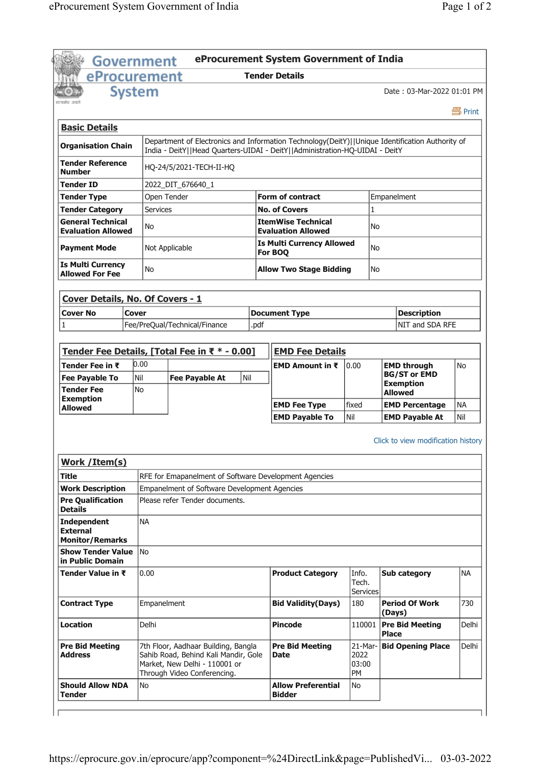|                                                                                                                                                                                                                                                                                                                                                                                 | Government      |                                                                                                                                             |      | eProcurement System Government of India                                                         |                                |              |                                           |                              |  |  |
|---------------------------------------------------------------------------------------------------------------------------------------------------------------------------------------------------------------------------------------------------------------------------------------------------------------------------------------------------------------------------------|-----------------|---------------------------------------------------------------------------------------------------------------------------------------------|------|-------------------------------------------------------------------------------------------------|--------------------------------|--------------|-------------------------------------------|------------------------------|--|--|
| eProcurement                                                                                                                                                                                                                                                                                                                                                                    |                 |                                                                                                                                             |      | <b>Tender Details</b>                                                                           |                                |              |                                           |                              |  |  |
| <b>System</b>                                                                                                                                                                                                                                                                                                                                                                   |                 |                                                                                                                                             |      |                                                                                                 |                                |              | Date: 03-Mar-2022 01:01 PM                |                              |  |  |
|                                                                                                                                                                                                                                                                                                                                                                                 |                 |                                                                                                                                             |      |                                                                                                 |                                |              |                                           | 昌 Print                      |  |  |
| <b>Basic Details</b>                                                                                                                                                                                                                                                                                                                                                            |                 |                                                                                                                                             |      |                                                                                                 |                                |              |                                           |                              |  |  |
| <b>Organisation Chain</b>                                                                                                                                                                                                                                                                                                                                                       |                 |                                                                                                                                             |      | Department of Electronics and Information Technology(DeitY)  Unique Identification Authority of |                                |              |                                           |                              |  |  |
| <b>Tender Reference</b>                                                                                                                                                                                                                                                                                                                                                         |                 |                                                                                                                                             |      | India - DeitY  Head Quarters-UIDAI - DeitY  Administration-HQ-UIDAI - DeitY                     |                                |              |                                           |                              |  |  |
| <b>Number</b>                                                                                                                                                                                                                                                                                                                                                                   |                 | HQ-24/5/2021-TECH-II-HQ                                                                                                                     |      |                                                                                                 |                                |              |                                           |                              |  |  |
| <b>Tender ID</b>                                                                                                                                                                                                                                                                                                                                                                |                 | 2022_DIT_676640_1                                                                                                                           |      |                                                                                                 |                                |              |                                           |                              |  |  |
| <b>Tender Type</b>                                                                                                                                                                                                                                                                                                                                                              | Open Tender     |                                                                                                                                             |      | <b>Form of contract</b>                                                                         | Empanelment                    |              |                                           |                              |  |  |
| <b>Tender Category</b>                                                                                                                                                                                                                                                                                                                                                          | <b>Services</b> |                                                                                                                                             |      | <b>No. of Covers</b>                                                                            |                                |              | $\mathbf{1}$                              |                              |  |  |
| <b>General Technical</b><br><b>Evaluation Allowed</b>                                                                                                                                                                                                                                                                                                                           | No              |                                                                                                                                             |      | <b>ItemWise Technical</b><br><b>Evaluation Allowed</b>                                          |                                |              | N <sub>o</sub>                            |                              |  |  |
| <b>Payment Mode</b>                                                                                                                                                                                                                                                                                                                                                             |                 | Not Applicable                                                                                                                              |      | <b>Is Multi Currency Allowed</b><br>For BOQ                                                     |                                |              | No                                        |                              |  |  |
| <b>Is Multi Currency</b><br><b>Allowed For Fee</b>                                                                                                                                                                                                                                                                                                                              | No              |                                                                                                                                             |      | <b>Allow Two Stage Bidding</b>                                                                  |                                |              | No                                        |                              |  |  |
|                                                                                                                                                                                                                                                                                                                                                                                 |                 |                                                                                                                                             |      |                                                                                                 |                                |              |                                           |                              |  |  |
| Cover Details, No. Of Covers - 1                                                                                                                                                                                                                                                                                                                                                |                 |                                                                                                                                             |      |                                                                                                 |                                |              |                                           |                              |  |  |
| <b>Cover No</b><br>Cover                                                                                                                                                                                                                                                                                                                                                        |                 |                                                                                                                                             |      | <b>Document Type</b>                                                                            |                                |              | <b>Description</b>                        |                              |  |  |
| 1                                                                                                                                                                                                                                                                                                                                                                               |                 | Fee/PreQual/Technical/Finance                                                                                                               | .pdf |                                                                                                 |                                |              | NIT and SDA RFE                           |                              |  |  |
|                                                                                                                                                                                                                                                                                                                                                                                 |                 |                                                                                                                                             |      |                                                                                                 |                                |              |                                           |                              |  |  |
|                                                                                                                                                                                                                                                                                                                                                                                 |                 | Tender Fee Details, [Total Fee in ₹ * - 0.00]                                                                                               |      | <b>EMD Fee Details</b>                                                                          |                                |              |                                           |                              |  |  |
|                                                                                                                                                                                                                                                                                                                                                                                 |                 |                                                                                                                                             |      |                                                                                                 |                                |              |                                           |                              |  |  |
|                                                                                                                                                                                                                                                                                                                                                                                 | 0.00            |                                                                                                                                             |      | <b>EMD Amount in <math>\bar{x}</math></b>                                                       | 0.00                           |              |                                           | <b>No</b>                    |  |  |
|                                                                                                                                                                                                                                                                                                                                                                                 | Nil             | <b>Fee Payable At</b>                                                                                                                       | Nil  |                                                                                                 |                                |              | <b>EMD through</b><br><b>BG/ST or EMD</b> |                              |  |  |
|                                                                                                                                                                                                                                                                                                                                                                                 | <b>No</b>       |                                                                                                                                             |      |                                                                                                 |                                |              | <b>Exemption</b><br><b>Allowed</b>        |                              |  |  |
|                                                                                                                                                                                                                                                                                                                                                                                 |                 |                                                                                                                                             |      |                                                                                                 |                                |              |                                           | <b>NA</b>                    |  |  |
|                                                                                                                                                                                                                                                                                                                                                                                 |                 |                                                                                                                                             |      | <b>EMD Fee Type</b><br><b>EMD Payable To</b>                                                    | fixed<br>Nil                   |              | <b>EMD Percentage</b>                     | Nil                          |  |  |
|                                                                                                                                                                                                                                                                                                                                                                                 |                 |                                                                                                                                             |      |                                                                                                 |                                |              | <b>EMD Payable At</b>                     |                              |  |  |
|                                                                                                                                                                                                                                                                                                                                                                                 |                 |                                                                                                                                             |      |                                                                                                 |                                |              | Click to view modification history        |                              |  |  |
|                                                                                                                                                                                                                                                                                                                                                                                 |                 |                                                                                                                                             |      |                                                                                                 |                                |              |                                           |                              |  |  |
|                                                                                                                                                                                                                                                                                                                                                                                 |                 |                                                                                                                                             |      |                                                                                                 |                                |              |                                           |                              |  |  |
|                                                                                                                                                                                                                                                                                                                                                                                 |                 | RFE for Emapanelment of Software Development Agencies                                                                                       |      |                                                                                                 |                                |              |                                           |                              |  |  |
|                                                                                                                                                                                                                                                                                                                                                                                 |                 | Empanelment of Software Development Agencies                                                                                                |      |                                                                                                 |                                |              |                                           |                              |  |  |
| <b>Allowed</b>                                                                                                                                                                                                                                                                                                                                                                  |                 | Please refer Tender documents.                                                                                                              |      |                                                                                                 |                                |              |                                           |                              |  |  |
|                                                                                                                                                                                                                                                                                                                                                                                 | <b>NA</b>       |                                                                                                                                             |      |                                                                                                 |                                |              |                                           |                              |  |  |
|                                                                                                                                                                                                                                                                                                                                                                                 |                 |                                                                                                                                             |      |                                                                                                 |                                |              |                                           |                              |  |  |
|                                                                                                                                                                                                                                                                                                                                                                                 |                 |                                                                                                                                             |      |                                                                                                 |                                |              |                                           |                              |  |  |
|                                                                                                                                                                                                                                                                                                                                                                                 | N <sub>o</sub>  |                                                                                                                                             |      |                                                                                                 |                                |              |                                           |                              |  |  |
|                                                                                                                                                                                                                                                                                                                                                                                 | 0.00            |                                                                                                                                             |      | <b>Product Category</b>                                                                         | Info.<br>Tech.                 |              | Sub category                              | <b>NA</b>                    |  |  |
|                                                                                                                                                                                                                                                                                                                                                                                 | Empanelment     |                                                                                                                                             |      | <b>Bid Validity(Days)</b>                                                                       | <b>Services</b><br>180         |              | <b>Period Of Work</b>                     |                              |  |  |
|                                                                                                                                                                                                                                                                                                                                                                                 |                 |                                                                                                                                             |      |                                                                                                 |                                | (Days)       |                                           |                              |  |  |
| Tender Fee in ₹<br><b>Fee Payable To</b><br><b>Tender Fee</b><br><b>Exemption</b><br><b>Work / Item(s)</b><br><b>Title</b><br><b>Work Description</b><br><b>Pre Qualification</b><br><b>Details</b><br><b>Independent</b><br><b>External</b><br><b>Monitor/Remarks</b><br><b>Show Tender Value</b><br>in Public Domain<br>Tender Value in ₹<br><b>Contract Type</b><br>Location | Delhi           |                                                                                                                                             |      | <b>Pincode</b>                                                                                  | 110001                         | <b>Place</b> | <b>Pre Bid Meeting</b>                    |                              |  |  |
| <b>Pre Bid Meeting</b><br><b>Address</b>                                                                                                                                                                                                                                                                                                                                        |                 | 7th Floor, Aadhaar Building, Bangla<br>Sahib Road, Behind Kali Mandir, Gole<br>Market, New Delhi - 110001 or<br>Through Video Conferencing. |      | <b>Pre Bid Meeting</b><br><b>Date</b>                                                           | 21-Mar-<br>2022<br>03:00<br>PM |              | <b>Bid Opening Place</b>                  | 730<br>Delhi<br><b>Delhi</b> |  |  |